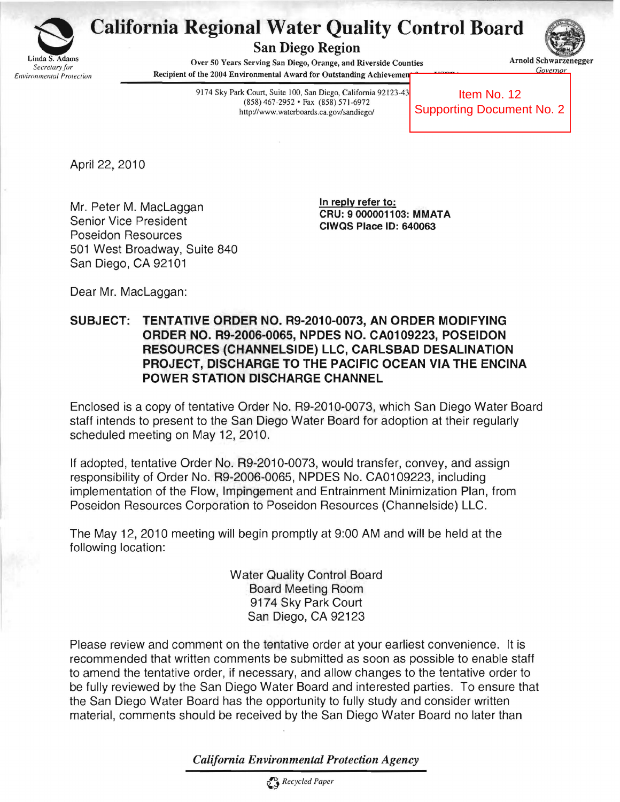

## **California Regional Water Quality Control Board**<br>San Diego Region<br>Secretary for Survers Serving San Diego, Orange, and Riverside Counties<br>Gevernor

San Diego Region 



Linda S. Adams<br>
Over 50 Years Serving San Diego, Orange, and Riverside Counties **Arnold Schwarzenegger** *Secretary for* Governor *Covernor Covernor Covernor* Covernor *Covernor Governor Governor Governor Governor Governor Governor Governor Governor Governor Governor Governor Governor Governor Gove* 

> 9174 Sky Park Court, Suite 100, San Diego, California 92123-43 (858) 467-2952 • Fax (858) 571-6972 http://www.waterboards.ca.gov/sandiego/

Item No. 12 Supporting Document No. 2

April 22, 2010

In reply refer to:<br>
In reply refer to:<br>
CRU: 9000001103: MMATA<br>
CIWQS Place ID: 640063 Poseidon Resources 501 West Broadway, Suite 840 San Diego, CA 92101

Dear Mr. MacLaggan:

SUBJECT: TENTATIVE ORDER NO. R9-2010-0073, AN ORDER MODIFYING ORDER NO. R9-2006-0065, NPDES NO. CA0109223, POSEIDON RESOURCES (CHANNELSIDE) LLC, CARLSBAD DESALINATION PROJECT, DISCHARGE TO THE PACIFIC OCEAN VIA THE ENCINA POWER STATION DISCHARGE CHANNEL

Enclosed is a copy of tentative Order No. R9-2010-0073, which San Diego Water Board staff intends to present to the San Diego Water Board for adoption at their regularly scheduled meeting on May 12, 2010.

If adopted, tentative Order No. R9-2010-0073, would transfer, convey, and assign responsibility of Order No. R9-2006-0065, NPDES No. CA01 09223, including implementation of the Flow, Impingement and Entrainment Minimization Plan, from Poseidon Resources Corporation to Poseidon Resources (Channelside) LLC.

The May 12, 2010 meeting will begin promptly at 9:00 AM and will be held at the following location:

> Water Quality Control Board Board Meeting Room 9174 Sky Park Court San Diego, CA 92123

Please review and comment on the tentative order at your earliest convenience. It is recommended that written comments be submitted as soon as possible to enable staff to amend the tentative order, if necessary, and allow changes to the tentative order to be fully reviewed by the San Diego Water Board and interested parties. To ensure that the San Diego Water Board has the opportunity to fully study and consider written material, comments should be received by the San Diego Water Board no later than

*California Environmental Protection Agency*